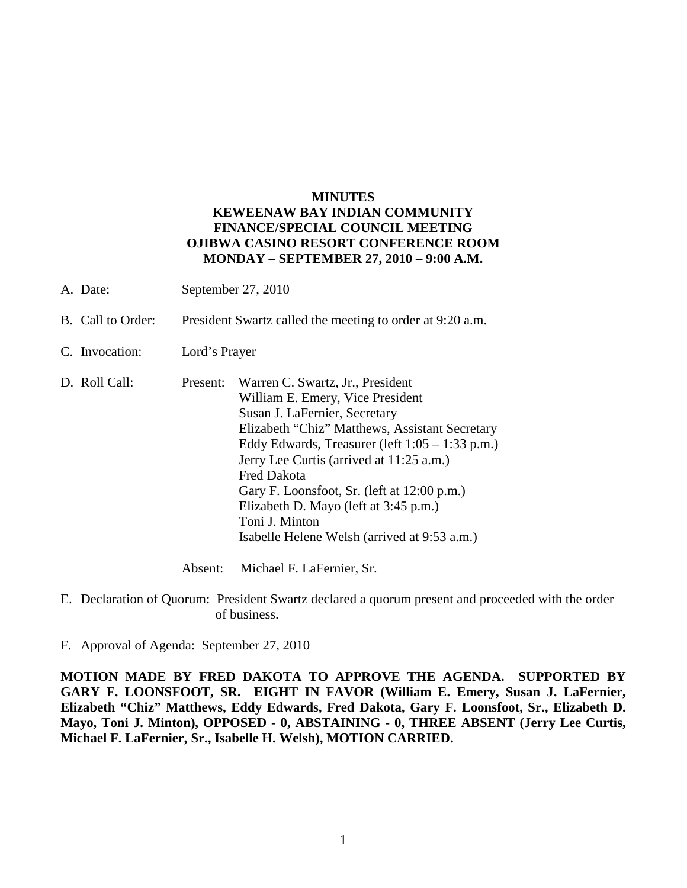## **MINUTES KEWEENAW BAY INDIAN COMMUNITY FINANCE/SPECIAL COUNCIL MEETING OJIBWA CASINO RESORT CONFERENCE ROOM MONDAY – SEPTEMBER 27, 2010 – 9:00 A.M.**

- A. Date: September 27, 2010
- B. Call to Order: President Swartz called the meeting to order at 9:20 a.m.
- C. Invocation: Lord's Prayer
- D. Roll Call: Present: Warren C. Swartz, Jr., President William E. Emery, Vice President Susan J. LaFernier, Secretary Elizabeth "Chiz" Matthews, Assistant Secretary Eddy Edwards, Treasurer (left 1:05 – 1:33 p.m.) Jerry Lee Curtis (arrived at 11:25 a.m.) Fred Dakota Gary F. Loonsfoot, Sr. (left at 12:00 p.m.) Elizabeth D. Mayo (left at 3:45 p.m.) Toni J. Minton Isabelle Helene Welsh (arrived at 9:53 a.m.)

Absent: Michael F. LaFernier, Sr.

- E. Declaration of Quorum: President Swartz declared a quorum present and proceeded with the order of business.
- F. Approval of Agenda: September 27, 2010

**MOTION MADE BY FRED DAKOTA TO APPROVE THE AGENDA. SUPPORTED BY GARY F. LOONSFOOT, SR. EIGHT IN FAVOR (William E. Emery, Susan J. LaFernier, Elizabeth "Chiz" Matthews, Eddy Edwards, Fred Dakota, Gary F. Loonsfoot, Sr., Elizabeth D. Mayo, Toni J. Minton), OPPOSED - 0, ABSTAINING - 0, THREE ABSENT (Jerry Lee Curtis, Michael F. LaFernier, Sr., Isabelle H. Welsh), MOTION CARRIED.**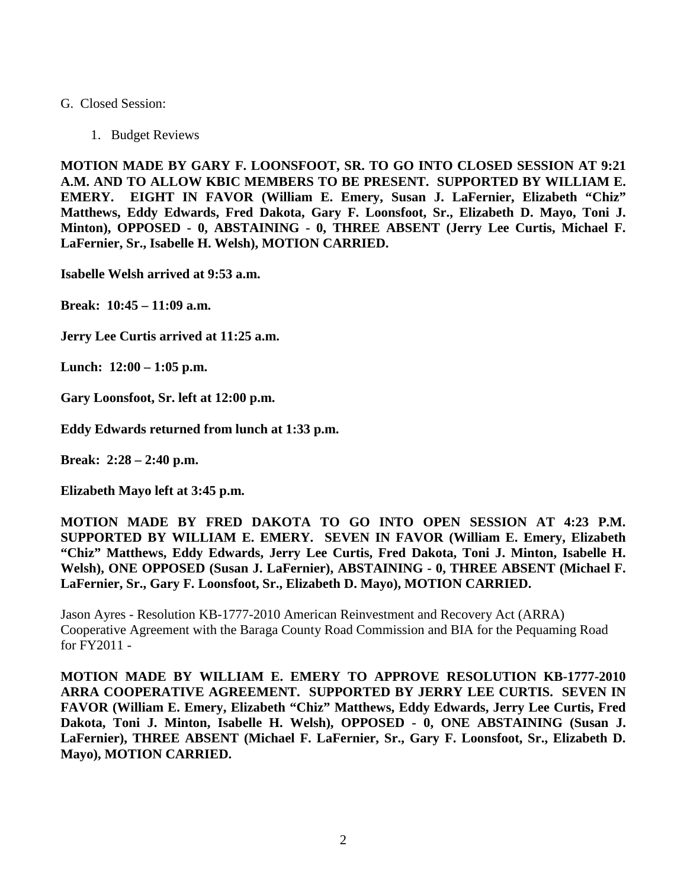## G. Closed Session:

1. Budget Reviews

**MOTION MADE BY GARY F. LOONSFOOT, SR. TO GO INTO CLOSED SESSION AT 9:21 A.M. AND TO ALLOW KBIC MEMBERS TO BE PRESENT. SUPPORTED BY WILLIAM E. EMERY. EIGHT IN FAVOR (William E. Emery, Susan J. LaFernier, Elizabeth "Chiz" Matthews, Eddy Edwards, Fred Dakota, Gary F. Loonsfoot, Sr., Elizabeth D. Mayo, Toni J. Minton), OPPOSED - 0, ABSTAINING - 0, THREE ABSENT (Jerry Lee Curtis, Michael F. LaFernier, Sr., Isabelle H. Welsh), MOTION CARRIED.**

**Isabelle Welsh arrived at 9:53 a.m.** 

**Break: 10:45 – 11:09 a.m.** 

**Jerry Lee Curtis arrived at 11:25 a.m.** 

**Lunch: 12:00 – 1:05 p.m.** 

**Gary Loonsfoot, Sr. left at 12:00 p.m.** 

**Eddy Edwards returned from lunch at 1:33 p.m.**

**Break: 2:28 – 2:40 p.m.** 

**Elizabeth Mayo left at 3:45 p.m.** 

**MOTION MADE BY FRED DAKOTA TO GO INTO OPEN SESSION AT 4:23 P.M. SUPPORTED BY WILLIAM E. EMERY. SEVEN IN FAVOR (William E. Emery, Elizabeth "Chiz" Matthews, Eddy Edwards, Jerry Lee Curtis, Fred Dakota, Toni J. Minton, Isabelle H. Welsh), ONE OPPOSED (Susan J. LaFernier), ABSTAINING - 0, THREE ABSENT (Michael F. LaFernier, Sr., Gary F. Loonsfoot, Sr., Elizabeth D. Mayo), MOTION CARRIED.**

Jason Ayres - Resolution KB-1777-2010 American Reinvestment and Recovery Act (ARRA) Cooperative Agreement with the Baraga County Road Commission and BIA for the Pequaming Road for FY2011 -

**MOTION MADE BY WILLIAM E. EMERY TO APPROVE RESOLUTION KB-1777-2010 ARRA COOPERATIVE AGREEMENT. SUPPORTED BY JERRY LEE CURTIS. SEVEN IN FAVOR (William E. Emery, Elizabeth "Chiz" Matthews, Eddy Edwards, Jerry Lee Curtis, Fred Dakota, Toni J. Minton, Isabelle H. Welsh), OPPOSED - 0, ONE ABSTAINING (Susan J. LaFernier), THREE ABSENT (Michael F. LaFernier, Sr., Gary F. Loonsfoot, Sr., Elizabeth D. Mayo), MOTION CARRIED.**